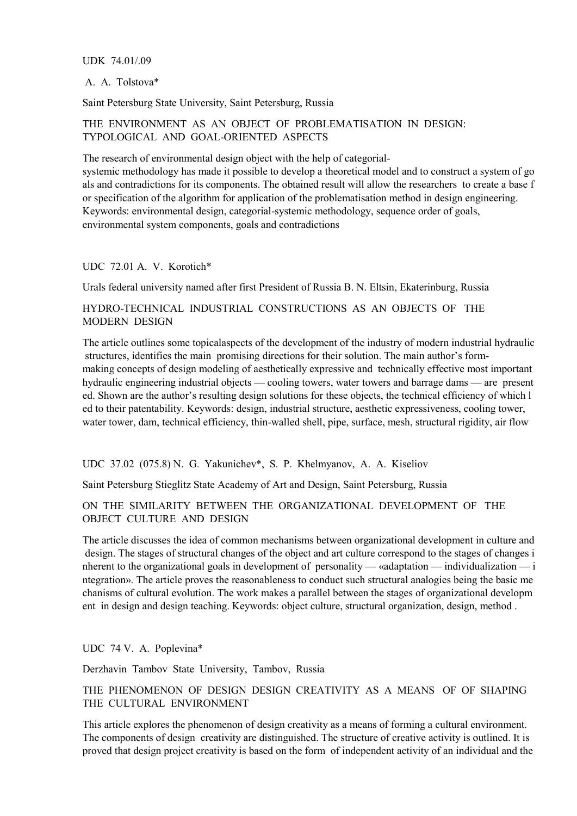### UDK 74.01/.09

### A. A. Tolstova\*

Saint Petersburg State University, Saint Petersburg, Russia

## THE ENVIRONMENT AS AN OBJECT OF PROBLEMATISATION IN DESIGN: TYPOLOGICAL AND GOAL-ORIENTED ASPECTS

The research of environmental design object with the help of categorial-

systemic methodology has made it possible to develop a theoretical model and to construct a system of go als and contradictions for its components. The obtained result will allow the researchers to create a base f or specification of the algorithm for application of the problematisation method in design engineering. Keywords: environmental design, categorial-systemic methodology, sequence order of goals, environmental system components, goals and contradictions

### UDC 72.01 A. V. Korotich\*

Urals federal university named after first President of Russia B. N. Eltsin, Ekaterinburg, Russia

HYDRO-TECHNICAL INDUSTRIAL CONSTRUCTIONS AS AN OBJECTS OF THE MODERN DESIGN

The article outlines some topicalaspects of the development of the industry of modern industrial hydraulic structures, identifies the main promising directions for their solution. The main author's formmaking concepts of design modeling of aesthetically expressive and technically effective most important hydraulic engineering industrial objects — cooling towers, water towers and barrage dams — are present ed. Shown are the author's resulting design solutions for these objects, the technical efficiency of which l ed to their patentability. Keywords: design, industrial structure, aesthetic expressiveness, cooling tower, water tower, dam, technical efficiency, thin-walled shell, pipe, surface, mesh, structural rigidity, air flow

UDC 37.02 (075.8) N. G. Yakunichev\*, S. P. Khelmyanov, A. A. Kiseliov

Saint Petersburg Stieglitz State Academy of Art and Design, Saint Petersburg, Russia

## ON THE SIMILARITY BETWEEN THE ORGANIZATIONAL DEVELOPMENT OF THE OBJECT CULTURE AND DESIGN

The article discusses the idea of common mechanisms between organizational development in culture and design. The stages of structural changes of the object and art culture correspond to the stages of changes i nherent to the organizational goals in development of personality — «adaptation — individualization — i ntegration». The article proves the reasonableness to conduct such structural analogies being the basic me chanisms of cultural evolution. The work makes a parallel between the stages of organizational developm ent in design and design teaching. Keywords: object culture, structural organization, design, method .

UDC 74 V. A. Poplevina\*

Derzhavin Tambov State University, Tambov, Russia

# THE PHENOMENON OF DESIGN DESIGN CREATIVITY AS A MEANS OF OF SHAPING THE CULTURAL ENVIRONMENT

This article explores the phenomenon of design creativity as a means of forming a cultural environment. The components of design creativity are distinguished. The structure of creative activity is outlined. It is proved that design project creativity is based on the form of independent activity of an individual and the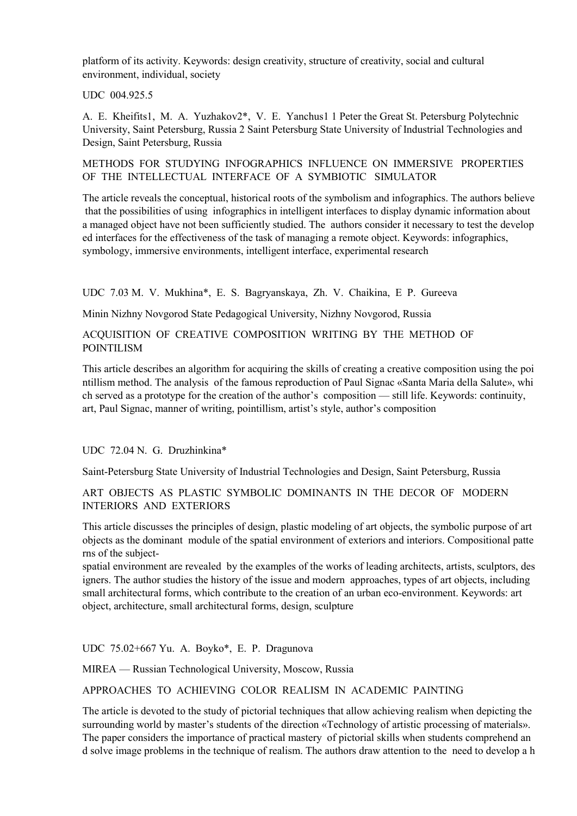platform of its activity. Keywords: design creativity, structure of creativity, social and cultural environment, individual, society

UDC 004.925.5

A. E. Kheifits1, M. A. Yuzhakov2\*, V. E. Yanchus1 1 Peter the Great St. Petersburg Polytechnic University, Saint Petersburg, Russia 2 Saint Petersburg State University of Industrial Technologies and Design, Saint Petersburg, Russia

METHODS FOR STUDYING INFOGRAPHICS INFLUENCE ON IMMERSIVE PROPERTIES OF THE INTELLECTUAL INTERFACE OF A SYMBIOTIC SIMULATOR

The article reveals the conceptual, historical roots of the symbolism and infographics. The authors believe that the possibilities of using infographics in intelligent interfaces to display dynamic information about a managed object have not been sufficiently studied. The authors consider it necessary to test the develop ed interfaces for the effectiveness of the task of managing a remote object. Keywords: infographics, symbology, immersive environments, intelligent interface, experimental research

UDC 7.03 M. V. Mukhina\*, E. S. Bagryanskaya, Zh. V. Chaikina, E P. Gureeva

Minin Nizhny Novgorod State Pedagogical University, Nizhny Novgorod, Russia

## ACQUISITION OF CREATIVE COMPOSITION WRITING BY THE METHOD OF POINTILISM

This article describes an algorithm for acquiring the skills of creating a creative composition using the poi ntillism method. The analysis of the famous reproduction of Paul Signac «Santa Maria della Salute», whi ch served as a prototype for the creation of the author's composition — still life. Keywords: continuity, art, Paul Signac, manner of writing, pointillism, artist's style, author's composition

# UDС 72.04 N. G. Druzhinkina\*

Saint-Petersburg State University of Industrial Technologies and Design, Saint Petersburg, Russia

ART OBJECTS AS PLASTIC SYMBOLIC DOMINANTS IN THE DECOR OF MODERN INTERIORS AND EXTERIORS

This article discusses the principles of design, plastic modeling of art objects, the symbolic purpose of art objects as the dominant module of the spatial environment of exteriors and interiors. Compositional patte rns of the subject-

spatial environment are revealed by the examples of the works of leading architects, artists, sculptors, des igners. The author studies the history of the issue and modern approaches, types of art objects, including small architectural forms, which contribute to the creation of an urban eco-environment. Keywords: art object, architecture, small architectural forms, design, sculpture

UDС 75.02+667 Yu. A. Boyko\*, E. P. Dragunova

MIREA — Russian Technological University, Moscow, Russia

APPROACHES TO ACHIEVING COLOR REALISM IN ACADEMIC PAINTING

The article is devoted to the study of pictorial techniques that allow achieving realism when depicting the surrounding world by master's students of the direction «Technology of artistic processing of materials». The paper considers the importance of practical mastery of pictorial skills when students comprehend an d solve image problems in the technique of realism. The authors draw attention to the need to develop a h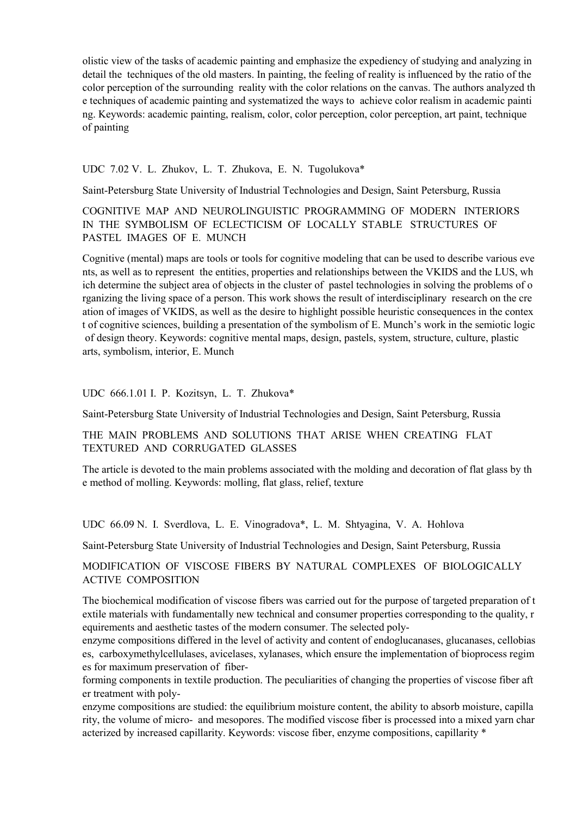olistic view of the tasks of academic painting and emphasize the expediency of studying and analyzing in detail the techniques of the old masters. In painting, the feeling of reality is influenced by the ratio of the color perception of the surrounding reality with the color relations on the canvas. The authors analyzed th e techniques of academic painting and systematized the ways to achieve color realism in academic painti ng. Keywords: academic painting, realism, color, color perception, color perception, art paint, technique of painting

UDС 7.02 V. L. Zhukov, L. T. Zhukova, E. N. Tugolukova\*

Saint-Petersburg State University of Industrial Technologies and Design, Saint Petersburg, Russia

# COGNITIVE MAP AND NEUROLINGUISTIC PROGRAMMING OF MODERN INTERIORS IN THE SYMBOLISM OF ECLECTICISM OF LOCALLY STABLE STRUCTURES OF PASTEL IMAGES OF E. MUNCH

Cognitive (mental) maps are tools or tools for cognitive modeling that can be used to describe various eve nts, as well as to represent the entities, properties and relationships between the VKIDS and the LUS, wh ich determine the subject area of objects in the cluster of pastel technologies in solving the problems of o rganizing the living space of a person. This work shows the result of interdisciplinary research on the cre ation of images of VKIDS, as well as the desire to highlight possible heuristic consequences in the contex t of cognitive sciences, building a presentation of the symbolism of E. Munch's work in the semiotic logic of design theory. Keywords: cognitive mental maps, design, pastels, system, structure, culture, plastic arts, symbolism, interior, E. Munch

UDC 666.1.01 I. P. Kozitsyn, L. T. Zhukova\*

Saint-Petersburg State University of Industrial Technologies and Design, Saint Petersburg, Russia

THE MAIN PROBLEMS AND SOLUTIONS THAT ARISE WHEN CREATING FLAT TEXTURED AND CORRUGATED GLASSES

The article is devoted to the main problems associated with the molding and decoration of flat glass by th e method of molling. Keywords: molling, flat glass, relief, texture

UDC 66.09 N. I. Sverdlova, L. E. Vinogradova\*, L. M. Shtyagina, V. A. Hohlova

Saint-Petersburg State University of Industrial Technologies and Design, Saint Petersburg, Russia

# MODIFICATION OF VISCOSE FIBERS BY NATURAL COMPLEXES OF BIOLOGICALLY ACTIVE COMPOSITION

The biochemical modification of viscose fibers was carried out for the purpose of targeted preparation of t extile materials with fundamentally new technical and consumer properties corresponding to the quality, r equirements and aesthetic tastes of the modern consumer. The selected poly-

enzyme compositions differed in the level of activity and content of endoglucanases, glucanases, cellobias es, carboxymethylcellulases, avicelases, xylanases, which ensure the implementation of bioprocess regim es for maximum preservation of fiber-

forming components in textile production. The peculiarities of changing the properties of viscose fiber aft er treatment with poly-

enzyme compositions are studied: the equilibrium moisture content, the ability to absorb moisture, capilla rity, the volume of micro- and mesopores. The modified viscose fiber is processed into a mixed yarn char acterized by increased capillarity. Keywords: viscose fiber, enzyme compositions, capillarity \*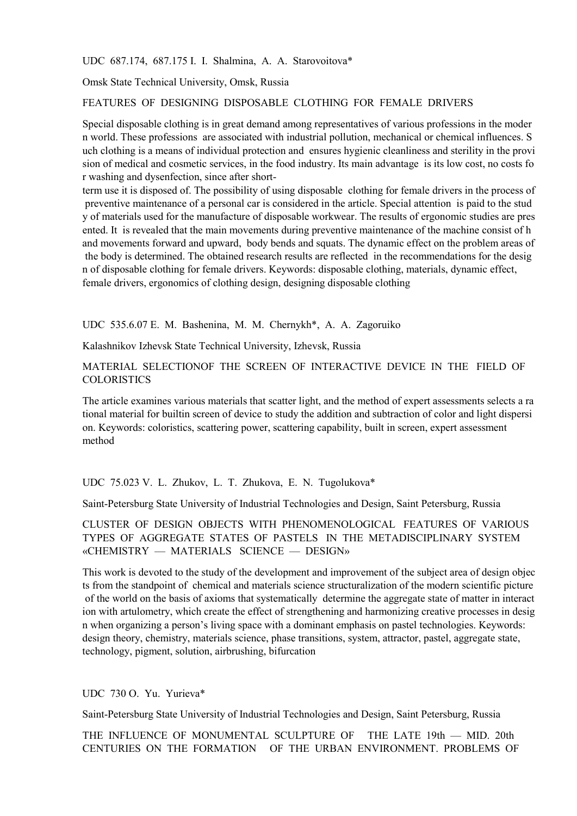UDC 687.174, 687.175 I. I. Shalmina, A. A. Starovoitova\*

Omsk State Technical University, Omsk, Russia

FEATURES OF DESIGNING DISPOSABLE CLOTHING FOR FEMALE DRIVERS

Special disposable clothing is in great demand among representatives of various professions in the moder n world. These professions are associated with industrial pollution, mechanical or chemical influences. S uch clothing is a means of individual protection and ensures hygienic cleanliness and sterility in the provi sion of medical and cosmetic services, in the food industry. Its main advantage is its low cost, no costs fo r washing and dysenfection, since after short-

term use it is disposed of. The possibility of using disposable clothing for female drivers in the process of preventive maintenance of a personal car is considered in the article. Special attention is paid to the stud y of materials used for the manufacture of disposable workwear. The results of ergonomic studies are pres ented. It is revealed that the main movements during preventive maintenance of the machine consist of h and movements forward and upward, body bends and squats. The dynamic effect on the problem areas of the body is determined. The obtained research results are reflected in the recommendations for the desig n of disposable clothing for female drivers. Keywords: disposable clothing, materials, dynamic effect, female drivers, ergonomics of clothing design, designing disposable clothing

UDС 535.6.07 E. M. Bashenina, M. M. Chernykh\*, А. A. Zagoruiko

Kalashnikov Izhevsk State Technical University, Izhevsk, Russia

MATERIAL SELECTIONOF THE SCREEN OF INTERACTIVE DEVICE IN THE FIELD OF **COLORISTICS** 

The article examines various materials that scatter light, and the method of expert assessments selects a ra tional material for builtin screen of device to study the addition and subtraction of color and light dispersi on. Keywords: coloristics, scattering power, scattering capability, built in screen, expert assessment method

UDC 75.023 V. L. Zhukov, L. T. Zhukova, E. N. Tugolukova\*

Saint-Petersburg State University of Industrial Technologies and Design, Saint Petersburg, Russia

CLUSTER OF DESIGN OBJECTS WITH PHENOMENOLOGICAL FEATURES OF VARIOUS TYPES OF AGGREGATE STATES OF PASTELS IN THE METADISCIPLINARY SYSTEM «CHEMISTRY — MATERIALS SCIENCE — DESIGN»

This work is devoted to the study of the development and improvement of the subject area of design objec ts from the standpoint of chemical and materials science structuralization of the modern scientific picture of the world on the basis of axioms that systematically determine the aggregate state of matter in interact ion with artulometry, which create the effect of strengthening and harmonizing creative processes in desig n when organizing a person's living space with a dominant emphasis on pastel technologies. Keywords: design theory, chemistry, materials science, phase transitions, system, attractor, pastel, aggregate state, technology, pigment, solution, airbrushing, bifurcation

### UDC 730 O. Yu. Yurieva\*

Saint-Petersburg State University of Industrial Technologies and Design, Saint Petersburg, Russia

THE INFLUENCE OF MONUMENTAL SCULPTURE OF THE LATE 19th — MID. 20th CENTURIES ON THE FORMATION OF THE URBAN ENVIRONMENT. PROBLEMS OF